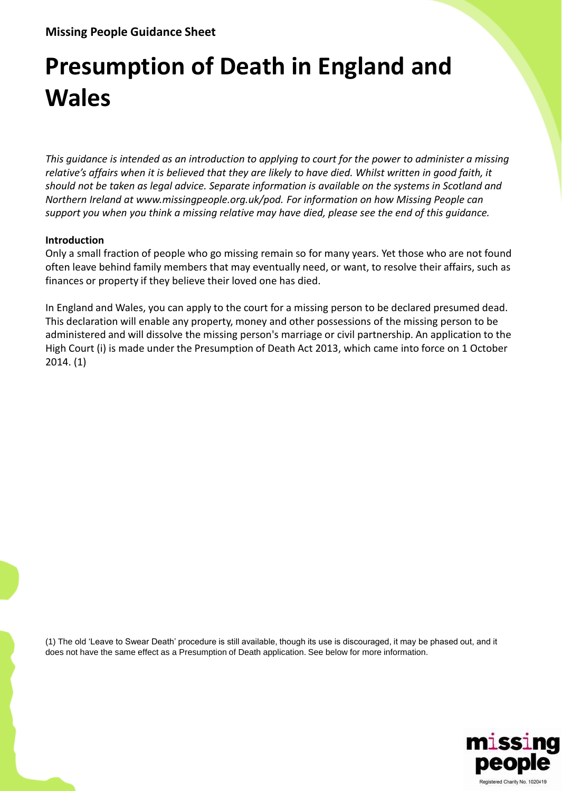# **Presumption of Death in England and Wales**

*This guidance is intended as an introduction to applying to court for the power to administer a missing relative's affairs when it is believed that they are likely to have died. Whilst written in good faith, it should not be taken as legal advice. Separate information is available on the systems in Scotland and Northern Ireland at www.missingpeople.org.uk/pod. For information on how Missing People can support you when you think a missing relative may have died, please see the end of this guidance.*

# **Introduction**

Only a small fraction of people who go missing remain so for many years. Yet those who are not found often leave behind family members that may eventually need, or want, to resolve their affairs, such as finances or property if they believe their loved one has died.

In England and Wales, you can apply to the court for a missing person to be declared presumed dead. This declaration will enable any property, money and other possessions of the missing person to be administered and will dissolve the missing person's marriage or civil partnership. An application to the High Court (i) is made under the Presumption of Death Act 2013, which came into force on 1 October 2014. (1)

(1) The old 'Leave to Swear Death' procedure is still available, though its use is discouraged, it may be phased out, and it does not have the same effect as a Presumption of Death application. See below for more information.

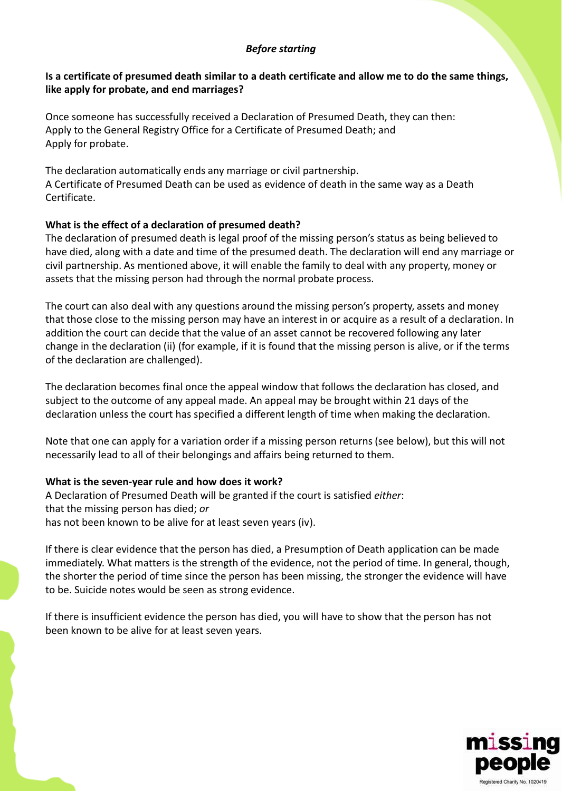# *Before starting*

# **Is a certificate of presumed death similar to a death certificate and allow me to do the same things, like apply for probate, and end marriages?**

Once someone has successfully received a Declaration of Presumed Death, they can then: Apply to the General Registry Office for a Certificate of Presumed Death; and Apply for probate.

The declaration automatically ends any marriage or civil partnership. A Certificate of Presumed Death can be used as evidence of death in the same way as a Death Certificate.

# **What is the effect of a declaration of presumed death?**

The declaration of presumed death is legal proof of the missing person's status as being believed to have died, along with a date and time of the presumed death. The declaration will end any marriage or civil partnership. As mentioned above, it will enable the family to deal with any property, money or assets that the missing person had through the normal probate process.

The court can also deal with any questions around the missing person's property, assets and money that those close to the missing person may have an interest in or acquire as a result of a declaration. In addition the court can decide that the value of an asset cannot be recovered following any later change in the declaration (ii) (for example, if it is found that the missing person is alive, or if the terms of the declaration are challenged).

The declaration becomes final once the appeal window that follows the declaration has closed, and subject to the outcome of any appeal made. An appeal may be brought within 21 days of the declaration unless the court has specified a different length of time when making the declaration.

Note that one can apply for a variation order if a missing person returns (see below), but this will not necessarily lead to all of their belongings and affairs being returned to them.

# **What is the seven-year rule and how does it work?**

A Declaration of Presumed Death will be granted if the court is satisfied *either*: that the missing person has died; *or* has not been known to be alive for at least seven years (iv).

If there is clear evidence that the person has died, a Presumption of Death application can be made immediately. What matters is the strength of the evidence, not the period of time. In general, though, the shorter the period of time since the person has been missing, the stronger the evidence will have to be. Suicide notes would be seen as strong evidence.

If there is insufficient evidence the person has died, you will have to show that the person has not been known to be alive for at least seven years.

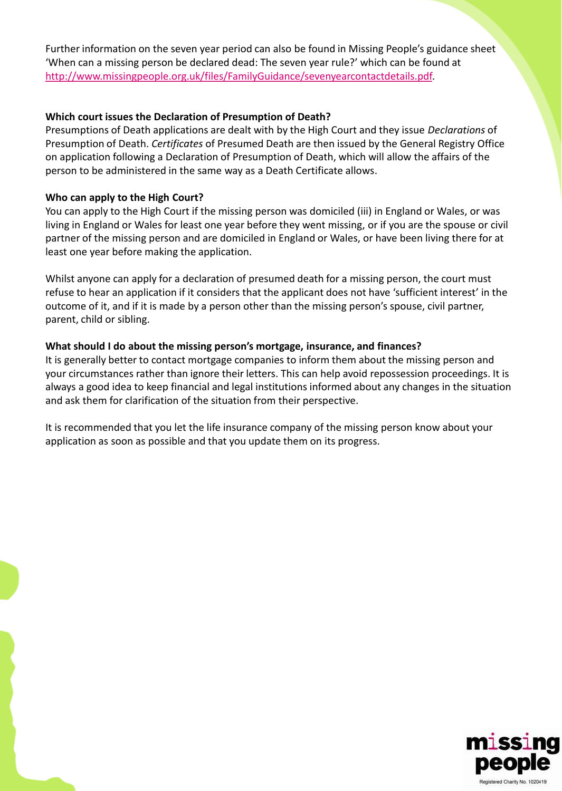Further information on the seven year period can also be found in Missing People's guidance sheet 'When can a missing person be declared dead: The seven year rule?' which can be found at [http://www.missingpeople.org.uk/files/FamilyGuidance/sevenyearcontactdetails.pdf.](http://www.missingpeople.org.uk/files/FamilyGuidance/sevenyearcontactdetails.pdf)

#### **Which court issues the Declaration of Presumption of Death?**

Presumptions of Death applications are dealt with by the High Court and they issue *Declarations* of Presumption of Death. *Certificates* of Presumed Death are then issued by the General Registry Office on application following a Declaration of Presumption of Death, which will allow the affairs of the person to be administered in the same way as a Death Certificate allows.

#### **Who can apply to the High Court?**

You can apply to the High Court if the missing person was domiciled (iii) in England or Wales, or was living in England or Wales for least one year before they went missing, or if you are the spouse or civil partner of the missing person and are domiciled in England or Wales, or have been living there for at least one year before making the application.

Whilst anyone can apply for a declaration of presumed death for a missing person, the court must refuse to hear an application if it considers that the applicant does not have 'sufficient interest' in the outcome of it, and if it is made by a person other than the missing person's spouse, civil partner, parent, child or sibling.

#### **What should I do about the missing person's mortgage, insurance, and finances?**

It is generally better to contact mortgage companies to inform them about the missing person and your circumstances rather than ignore their letters. This can help avoid repossession proceedings. It is always a good idea to keep financial and legal institutions informed about any changes in the situation and ask them for clarification of the situation from their perspective.

It is recommended that you let the life insurance company of the missing person know about your application as soon as possible and that you update them on its progress.

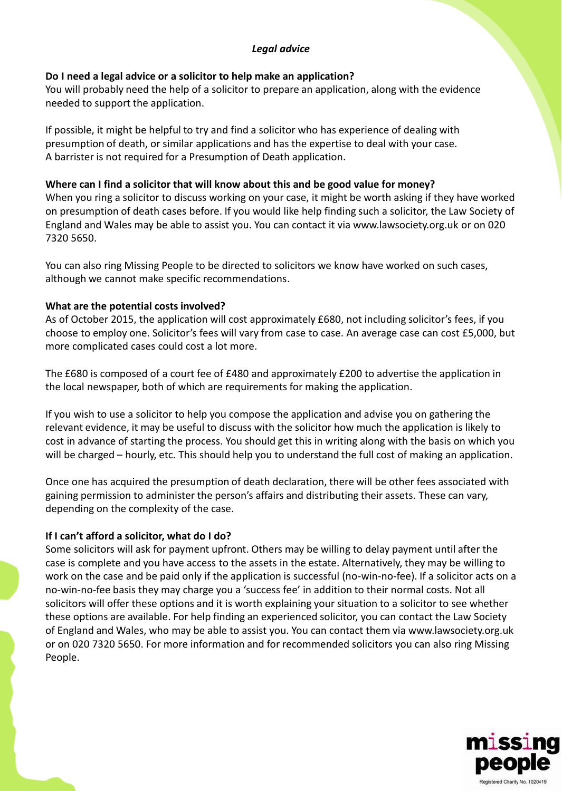# *Legal advice*

#### **Do I need a legal advice or a solicitor to help make an application?**

You will probably need the help of a solicitor to prepare an application, along with the evidence needed to support the application.

If possible, it might be helpful to try and find a solicitor who has experience of dealing with presumption of death, or similar applications and has the expertise to deal with your case. A barrister is not required for a Presumption of Death application.

#### **Where can I find a solicitor that will know about this and be good value for money?**

When you ring a solicitor to discuss working on your case, it might be worth asking if they have worked on presumption of death cases before. If you would like help finding such a solicitor, the Law Society of England and Wales may be able to assist you. You can contact it via www.lawsociety.org.uk or on 020 7320 5650.

You can also ring Missing People to be directed to solicitors we know have worked on such cases, although we cannot make specific recommendations.

#### **What are the potential costs involved?**

As of October 2015, the application will cost approximately £680, not including solicitor's fees, if you choose to employ one. Solicitor's fees will vary from case to case. An average case can cost £5,000, but more complicated cases could cost a lot more.

The £680 is composed of a court fee of £480 and approximately £200 to advertise the application in the local newspaper, both of which are requirements for making the application.

If you wish to use a solicitor to help you compose the application and advise you on gathering the relevant evidence, it may be useful to discuss with the solicitor how much the application is likely to cost in advance of starting the process. You should get this in writing along with the basis on which you will be charged – hourly, etc. This should help you to understand the full cost of making an application.

Once one has acquired the presumption of death declaration, there will be other fees associated with gaining permission to administer the person's affairs and distributing their assets. These can vary, depending on the complexity of the case.

# **If I can't afford a solicitor, what do I do?**

Some solicitors will ask for payment upfront. Others may be willing to delay payment until after the case is complete and you have access to the assets in the estate. Alternatively, they may be willing to work on the case and be paid only if the application is successful (no-win-no-fee). If a solicitor acts on a no-win-no-fee basis they may charge you a 'success fee' in addition to their normal costs. Not all solicitors will offer these options and it is worth explaining your situation to a solicitor to see whether these options are available. For help finding an experienced solicitor, you can contact the Law Society of England and Wales, who may be able to assist you. You can contact them via www.lawsociety.org.uk or on 020 7320 5650. For more information and for recommended solicitors you can also ring Missing People.

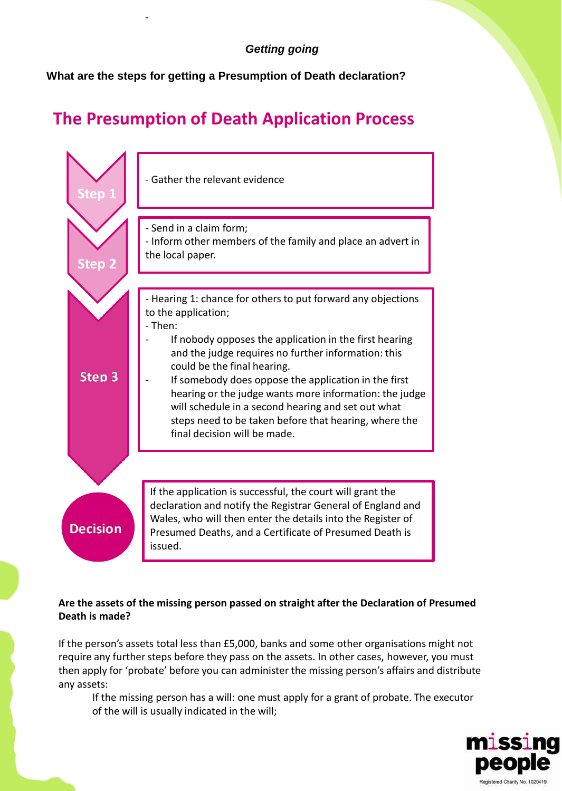**What are the steps for getting a Presumption of Death declaration?**

-

# **The Presumption of Death Application Process**



# **Are the assets of the missing person passed on straight after the Declaration of Presumed Death is made?**

If the person's assets total less than £5,000, banks and some other organisations might not require any further steps before they pass on the assets. In other cases, however, you must then apply for 'probate' before you can administer the missing person's affairs and distribute any assets:

If the missing person has a will: one must apply for a grant of probate. The executor of the will is usually indicated in the will;

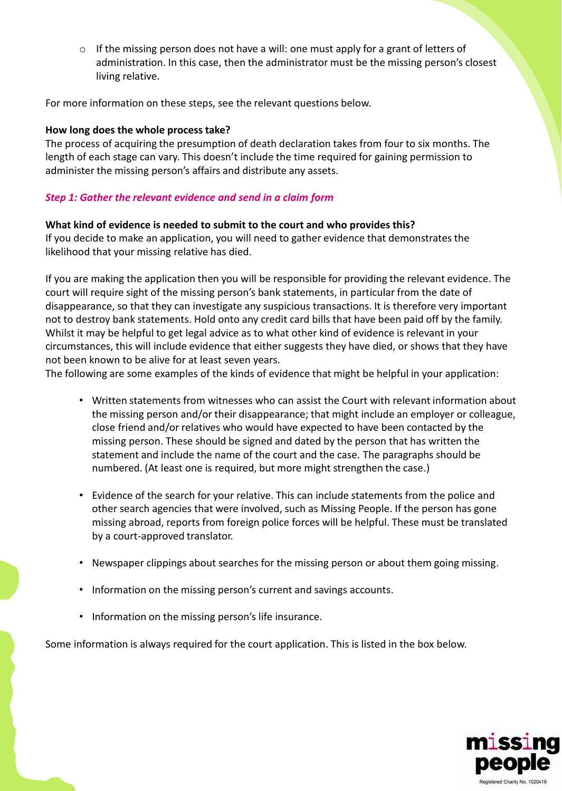$\circ$  If the missing person does not have a will: one must apply for a grant of letters of administration. In this case, then the administrator must be the missing person's closest living relative.

For more information on these steps, see the relevant questions below.

#### **How long does the whole process take?**

The process of acquiring the presumption of death declaration takes from four to six months. The length of each stage can vary. This doesn't include the time required for gaining permission to administer the missing person's affairs and distribute any assets.

#### *Step 1: Gather the relevant evidence and send in a claim form*

#### **What kind of evidence is needed to submit to the court and who provides this?**

If you decide to make an application, you will need to gather evidence that demonstrates the likelihood that your missing relative has died.

If you are making the application then you will be responsible for providing the relevant evidence. The court will require sight of the missing person's bank statements, in particular from the date of disappearance, so that they can investigate any suspicious transactions. It is therefore very important not to destroy bank statements. Hold onto any credit card bills that have been paid off by the family. Whilst it may be helpful to get legal advice as to what other kind of evidence is relevant in your circumstances, this will include evidence that either suggests they have died, or shows that they have not been known to be alive for at least seven years.

The following are some examples of the kinds of evidence that might be helpful in your application:

- Written statements from witnesses who can assist the Court with relevant information about the missing person and/or their disappearance; that might include an employer or colleague, close friend and/or relatives who would have expected to have been contacted by the missing person. These should be signed and dated by the person that has written the statement and include the name of the court and the case. The paragraphs should be numbered. (At least one is required, but more might strengthen the case.)
- Evidence of the search for your relative. This can include statements from the police and other search agencies that were involved, such as Missing People. If the person has gone missing abroad, reports from foreign police forces will be helpful. These must be translated by a court-approved translator.
- Newspaper clippings about searches for the missing person or about them going missing.
- Information on the missing person's current and savings accounts.
- Information on the missing person's life insurance.

Some information is always required for the court application. This is listed in the box below.

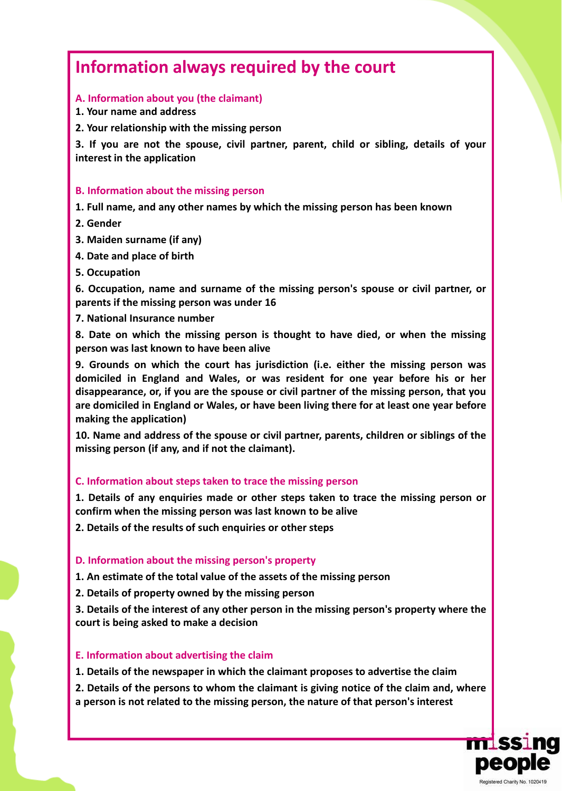# **Information always required by the court**

# **A. Information about you (the claimant)**

**1. Your name and address**

**2. Your relationship with the missing person**

**3. If you are not the spouse, civil partner, parent, child or sibling, details of your interest in the application**

#### **B. Information about the missing person**

**1. Full name, and any other names by which the missing person has been known**

- **2. Gender**
- **3. Maiden surname (if any)**
- **4. Date and place of birth**
- **5. Occupation**

**6. Occupation, name and surname of the missing person's spouse or civil partner, or parents if the missing person was under 16**

**7. National Insurance number**

**8. Date on which the missing person is thought to have died, or when the missing person was last known to have been alive**

**9. Grounds on which the court has jurisdiction (i.e. either the missing person was domiciled in England and Wales, or was resident for one year before his or her disappearance, or, if you are the spouse or civil partner of the missing person, that you are domiciled in England or Wales, or have been living there for at least one year before making the application)**

**10. Name and address of the spouse or civil partner, parents, children or siblings of the missing person (if any, and if not the claimant).**

# **C. Information about steps taken to trace the missing person**

**1. Details of any enquiries made or other steps taken to trace the missing person or confirm when the missing person was last known to be alive**

**2. Details of the results of such enquiries or other steps**

# **D. Information about the missing person's property**

**1. An estimate of the total value of the assets of the missing person**

**2. Details of property owned by the missing person**

**3. Details of the interest of any other person in the missing person's property where the court is being asked to make a decision**

# **E. Information about advertising the claim**

**1. Details of the newspaper in which the claimant proposes to advertise the claim**

**2. Details of the persons to whom the claimant is giving notice of the claim and, where a person is not related to the missing person, the nature of that person's interest**

**mlssi** 

peop

Registered Charity No. 1020419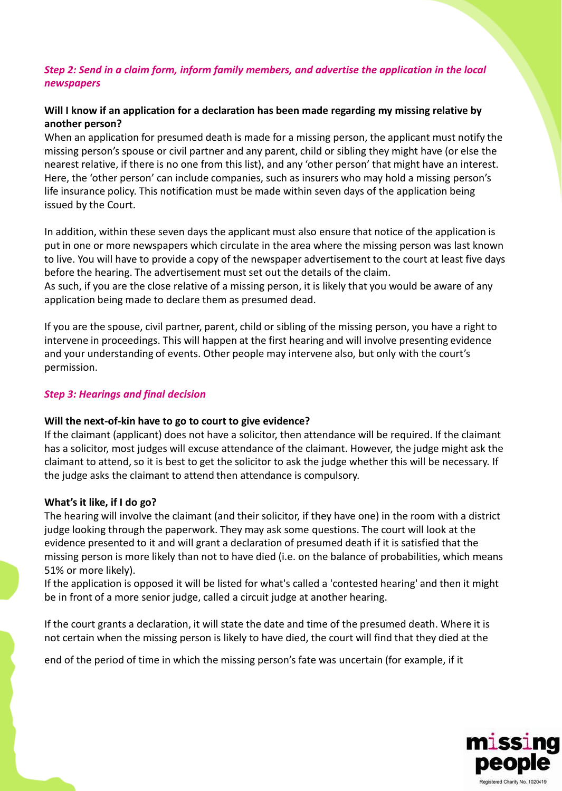# *Step 2: Send in a claim form, inform family members, and advertise the application in the local newspapers*

# **Will I know if an application for a declaration has been made regarding my missing relative by another person?**

When an application for presumed death is made for a missing person, the applicant must notify the missing person's spouse or civil partner and any parent, child or sibling they might have (or else the nearest relative, if there is no one from this list), and any 'other person' that might have an interest. Here, the 'other person' can include companies, such as insurers who may hold a missing person's life insurance policy. This notification must be made within seven days of the application being issued by the Court.

In addition, within these seven days the applicant must also ensure that notice of the application is put in one or more newspapers which circulate in the area where the missing person was last known to live. You will have to provide a copy of the newspaper advertisement to the court at least five days before the hearing. The advertisement must set out the details of the claim.

As such, if you are the close relative of a missing person, it is likely that you would be aware of any application being made to declare them as presumed dead.

If you are the spouse, civil partner, parent, child or sibling of the missing person, you have a right to intervene in proceedings. This will happen at the first hearing and will involve presenting evidence and your understanding of events. Other people may intervene also, but only with the court's permission.

#### *Step 3: Hearings and final decision*

#### **Will the next-of-kin have to go to court to give evidence?**

If the claimant (applicant) does not have a solicitor, then attendance will be required. If the claimant has a solicitor, most judges will excuse attendance of the claimant. However, the judge might ask the claimant to attend, so it is best to get the solicitor to ask the judge whether this will be necessary. If the judge asks the claimant to attend then attendance is compulsory.

#### **What's it like, if I do go?**

The hearing will involve the claimant (and their solicitor, if they have one) in the room with a district judge looking through the paperwork. They may ask some questions. The court will look at the evidence presented to it and will grant a declaration of presumed death if it is satisfied that the missing person is more likely than not to have died (i.e. on the balance of probabilities, which means 51% or more likely).

If the application is opposed it will be listed for what's called a 'contested hearing' and then it might be in front of a more senior judge, called a circuit judge at another hearing.

If the court grants a declaration, it will state the date and time of the presumed death. Where it is not certain when the missing person is likely to have died, the court will find that they died at the

end of the period of time in which the missing person's fate was uncertain (for example, if it

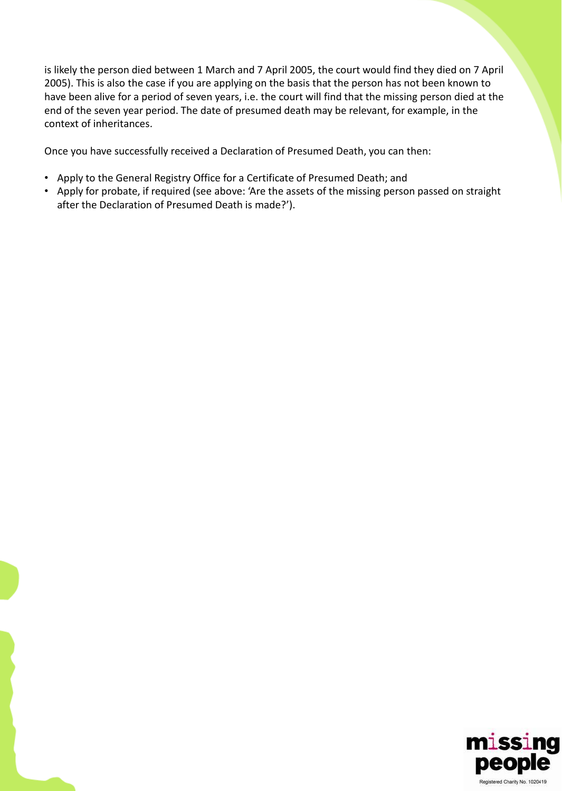is likely the person died between 1 March and 7 April 2005, the court would find they died on 7 April 2005). This is also the case if you are applying on the basis that the person has not been known to have been alive for a period of seven years, i.e. the court will find that the missing person died at the end of the seven year period. The date of presumed death may be relevant, for example, in the context of inheritances.

Once you have successfully received a Declaration of Presumed Death, you can then:

- Apply to the General Registry Office for a Certificate of Presumed Death; and
- Apply for probate, if required (see above: 'Are the assets of the missing person passed on straight after the Declaration of Presumed Death is made?').

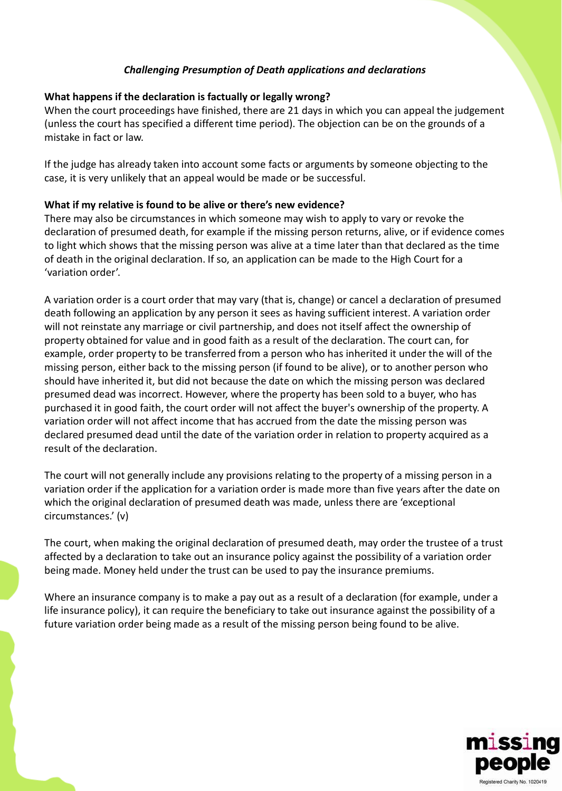# *Challenging Presumption of Death applications and declarations*

# **What happens if the declaration is factually or legally wrong?**

When the court proceedings have finished, there are 21 days in which you can appeal the judgement (unless the court has specified a different time period). The objection can be on the grounds of a mistake in fact or law.

If the judge has already taken into account some facts or arguments by someone objecting to the case, it is very unlikely that an appeal would be made or be successful.

#### **What if my relative is found to be alive or there's new evidence?**

There may also be circumstances in which someone may wish to apply to vary or revoke the declaration of presumed death, for example if the missing person returns, alive, or if evidence comes to light which shows that the missing person was alive at a time later than that declared as the time of death in the original declaration. If so, an application can be made to the High Court for a 'variation order'.

A variation order is a court order that may vary (that is, change) or cancel a declaration of presumed death following an application by any person it sees as having sufficient interest. A variation order will not reinstate any marriage or civil partnership, and does not itself affect the ownership of property obtained for value and in good faith as a result of the declaration. The court can, for example, order property to be transferred from a person who has inherited it under the will of the missing person, either back to the missing person (if found to be alive), or to another person who should have inherited it, but did not because the date on which the missing person was declared presumed dead was incorrect. However, where the property has been sold to a buyer, who has purchased it in good faith, the court order will not affect the buyer's ownership of the property. A variation order will not affect income that has accrued from the date the missing person was declared presumed dead until the date of the variation order in relation to property acquired as a result of the declaration.

The court will not generally include any provisions relating to the property of a missing person in a variation order if the application for a variation order is made more than five years after the date on which the original declaration of presumed death was made, unless there are 'exceptional circumstances.' (v)

The court, when making the original declaration of presumed death, may order the trustee of a trust affected by a declaration to take out an insurance policy against the possibility of a variation order being made. Money held under the trust can be used to pay the insurance premiums.

Where an insurance company is to make a pay out as a result of a declaration (for example, under a life insurance policy), it can require the beneficiary to take out insurance against the possibility of a future variation order being made as a result of the missing person being found to be alive.

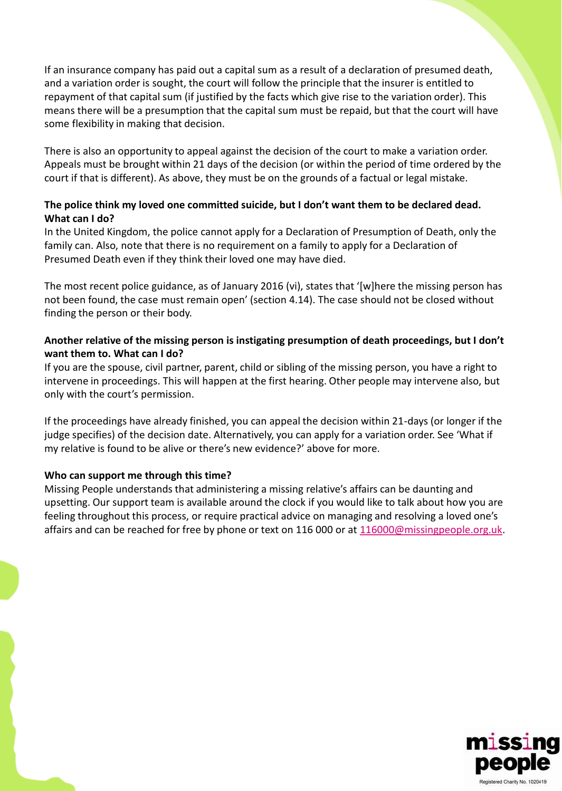If an insurance company has paid out a capital sum as a result of a declaration of presumed death, and a variation order is sought, the court will follow the principle that the insurer is entitled to repayment of that capital sum (if justified by the facts which give rise to the variation order). This means there will be a presumption that the capital sum must be repaid, but that the court will have some flexibility in making that decision.

There is also an opportunity to appeal against the decision of the court to make a variation order. Appeals must be brought within 21 days of the decision (or within the period of time ordered by the court if that is different). As above, they must be on the grounds of a factual or legal mistake.

# **The police think my loved one committed suicide, but I don't want them to be declared dead. What can I do?**

In the United Kingdom, the police cannot apply for a Declaration of Presumption of Death, only the family can. Also, note that there is no requirement on a family to apply for a Declaration of Presumed Death even if they think their loved one may have died.

The most recent police guidance, as of January 2016 (vi), states that '[w]here the missing person has not been found, the case must remain open' (section 4.14). The case should not be closed without finding the person or their body.

# **Another relative of the missing person is instigating presumption of death proceedings, but I don't want them to. What can I do?**

If you are the spouse, civil partner, parent, child or sibling of the missing person, you have a right to intervene in proceedings. This will happen at the first hearing. Other people may intervene also, but only with the court's permission.

If the proceedings have already finished, you can appeal the decision within 21-days (or longer if the judge specifies) of the decision date. Alternatively, you can apply for a variation order. See 'What if my relative is found to be alive or there's new evidence?' above for more.

#### **Who can support me through this time?**

Missing People understands that administering a missing relative's affairs can be daunting and upsetting. Our support team is available around the clock if you would like to talk about how you are feeling throughout this process, or require practical advice on managing and resolving a loved one's affairs and can be reached for free by phone or text on 116 000 or at [116000@missingpeople.org.uk.](mailto:116000@missingpeople.org.uk)

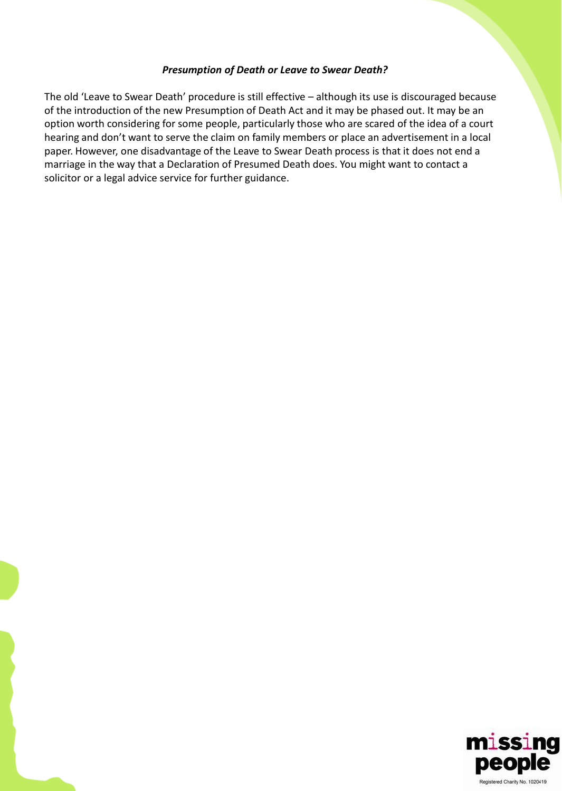#### *Presumption of Death or Leave to Swear Death?*

The old 'Leave to Swear Death' procedure is still effective – although its use is discouraged because of the introduction of the new Presumption of Death Act and it may be phased out. It may be an option worth considering for some people, particularly those who are scared of the idea of a court hearing and don't want to serve the claim on family members or place an advertisement in a local paper. However, one disadvantage of the Leave to Swear Death process is that it does not end a marriage in the way that a Declaration of Presumed Death does. You might want to contact a solicitor or a legal advice service for further guidance.